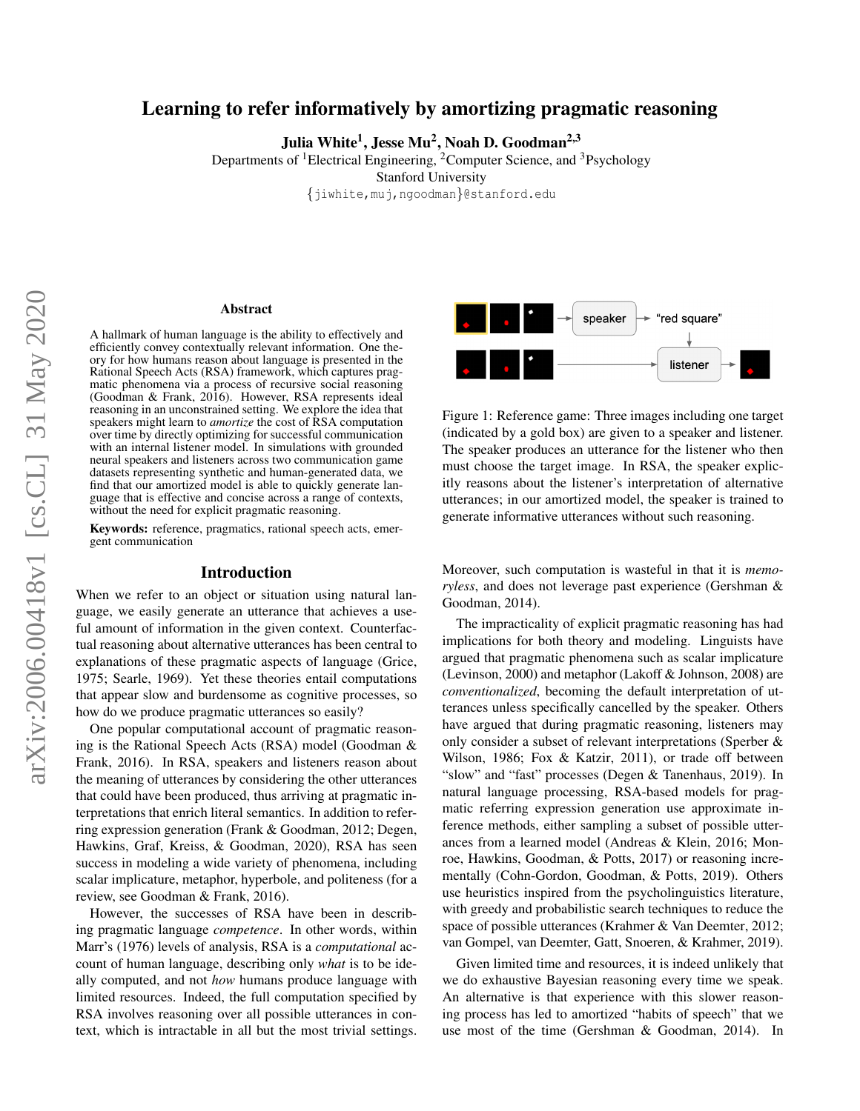# Learning to refer informatively by amortizing pragmatic reasoning

Julia White<sup>1</sup>, Jesse Mu<sup>2</sup>, Noah D. Goodman<sup>2,3</sup>

Departments of <sup>1</sup>Electrical Engineering, <sup>2</sup>Computer Science, and <sup>3</sup>Psychology Stanford University {jiwhite,muj,ngoodman}@stanford.edu

#### Abstract

A hallmark of human language is the ability to effectively and efficiently convey contextually relevant information. One theory for how humans reason about language is presented in the Rational Speech Acts (RSA) framework, which captures pragmatic phenomena via a process of recursive social reasoning (Goodman & Frank, 2016). However, RSA represents ideal reasoning in an unconstrained setting. We explore the idea that speakers might learn to *amortize* the cost of RSA computation over time by directly optimizing for successful communication with an internal listener model. In simulations with grounded neural speakers and listeners across two communication game datasets representing synthetic and human-generated data, we find that our amortized model is able to quickly generate language that is effective and concise across a range of contexts, without the need for explicit pragmatic reasoning.

Keywords: reference, pragmatics, rational speech acts, emergent communication

#### Introduction

When we refer to an object or situation using natural language, we easily generate an utterance that achieves a useful amount of information in the given context. Counterfactual reasoning about alternative utterances has been central to explanations of these pragmatic aspects of language (Grice, 1975; Searle, 1969). Yet these theories entail computations that appear slow and burdensome as cognitive processes, so how do we produce pragmatic utterances so easily?

One popular computational account of pragmatic reasoning is the Rational Speech Acts (RSA) model (Goodman & Frank, 2016). In RSA, speakers and listeners reason about the meaning of utterances by considering the other utterances that could have been produced, thus arriving at pragmatic interpretations that enrich literal semantics. In addition to referring expression generation (Frank & Goodman, 2012; Degen, Hawkins, Graf, Kreiss, & Goodman, 2020), RSA has seen success in modeling a wide variety of phenomena, including scalar implicature, metaphor, hyperbole, and politeness (for a review, see Goodman & Frank, 2016).

However, the successes of RSA have been in describing pragmatic language *competence*. In other words, within Marr's (1976) levels of analysis, RSA is a *computational* account of human language, describing only *what* is to be ideally computed, and not *how* humans produce language with limited resources. Indeed, the full computation specified by RSA involves reasoning over all possible utterances in context, which is intractable in all but the most trivial settings.



Figure 1: Reference game: Three images including one target (indicated by a gold box) are given to a speaker and listener. The speaker produces an utterance for the listener who then must choose the target image. In RSA, the speaker explicitly reasons about the listener's interpretation of alternative utterances; in our amortized model, the speaker is trained to generate informative utterances without such reasoning.

Moreover, such computation is wasteful in that it is *memoryless*, and does not leverage past experience (Gershman & Goodman, 2014).

The impracticality of explicit pragmatic reasoning has had implications for both theory and modeling. Linguists have argued that pragmatic phenomena such as scalar implicature (Levinson, 2000) and metaphor (Lakoff & Johnson, 2008) are *conventionalized*, becoming the default interpretation of utterances unless specifically cancelled by the speaker. Others have argued that during pragmatic reasoning, listeners may only consider a subset of relevant interpretations (Sperber & Wilson, 1986; Fox & Katzir, 2011), or trade off between "slow" and "fast" processes (Degen & Tanenhaus, 2019). In natural language processing, RSA-based models for pragmatic referring expression generation use approximate inference methods, either sampling a subset of possible utterances from a learned model (Andreas & Klein, 2016; Monroe, Hawkins, Goodman, & Potts, 2017) or reasoning incrementally (Cohn-Gordon, Goodman, & Potts, 2019). Others use heuristics inspired from the psycholinguistics literature, with greedy and probabilistic search techniques to reduce the space of possible utterances (Krahmer & Van Deemter, 2012; van Gompel, van Deemter, Gatt, Snoeren, & Krahmer, 2019).

Given limited time and resources, it is indeed unlikely that we do exhaustive Bayesian reasoning every time we speak. An alternative is that experience with this slower reasoning process has led to amortized "habits of speech" that we use most of the time (Gershman & Goodman, 2014). In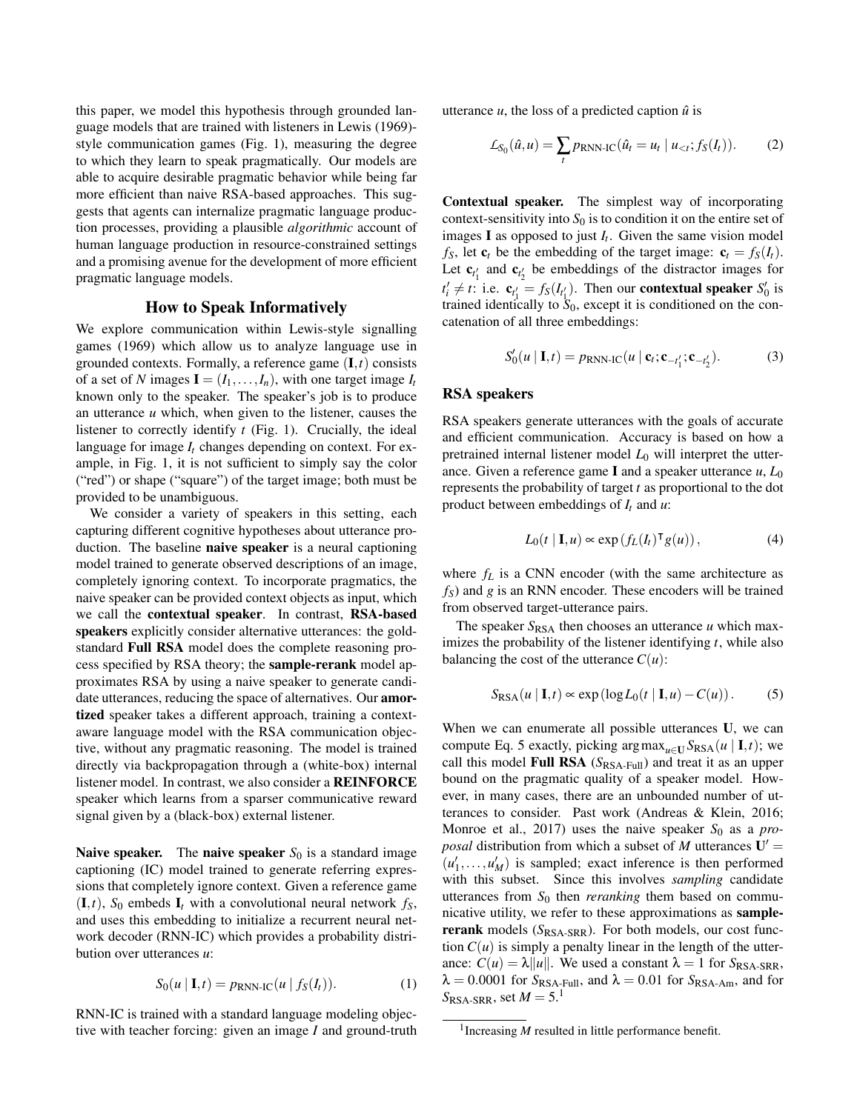this paper, we model this hypothesis through grounded language models that are trained with listeners in Lewis (1969) style communication games (Fig. 1), measuring the degree to which they learn to speak pragmatically. Our models are able to acquire desirable pragmatic behavior while being far more efficient than naive RSA-based approaches. This suggests that agents can internalize pragmatic language production processes, providing a plausible *algorithmic* account of human language production in resource-constrained settings and a promising avenue for the development of more efficient pragmatic language models.

# How to Speak Informatively

We explore communication within Lewis-style signalling games (1969) which allow us to analyze language use in grounded contexts. Formally, a reference game (I,*t*) consists of a set of *N* images  $I = (I_1, \ldots, I_n)$ , with one target image  $I_t$ known only to the speaker. The speaker's job is to produce an utterance *u* which, when given to the listener, causes the listener to correctly identify *t* (Fig. 1). Crucially, the ideal language for image *I<sup>t</sup>* changes depending on context. For example, in Fig. 1, it is not sufficient to simply say the color ("red") or shape ("square") of the target image; both must be provided to be unambiguous.

We consider a variety of speakers in this setting, each capturing different cognitive hypotheses about utterance production. The baseline naive speaker is a neural captioning model trained to generate observed descriptions of an image, completely ignoring context. To incorporate pragmatics, the naive speaker can be provided context objects as input, which we call the contextual speaker. In contrast, RSA-based speakers explicitly consider alternative utterances: the goldstandard Full RSA model does the complete reasoning process specified by RSA theory; the sample-rerank model approximates RSA by using a naive speaker to generate candidate utterances, reducing the space of alternatives. Our amortized speaker takes a different approach, training a contextaware language model with the RSA communication objective, without any pragmatic reasoning. The model is trained directly via backpropagation through a (white-box) internal listener model. In contrast, we also consider a REINFORCE speaker which learns from a sparser communicative reward signal given by a (black-box) external listener.

**Naive speaker.** The **naive speaker**  $S_0$  is a standard image captioning (IC) model trained to generate referring expressions that completely ignore context. Given a reference game  $(I, t)$ ,  $S_0$  embeds  $I_t$  with a convolutional neural network  $f_s$ , and uses this embedding to initialize a recurrent neural network decoder (RNN-IC) which provides a probability distribution over utterances *u*:

$$
S_0(u | \mathbf{I}, t) = p_{RNN-IC}(u | f_S(I_t)).
$$
 (1)

RNN-IC is trained with a standard language modeling objective with teacher forcing: given an image *I* and ground-truth utterance  $u$ , the loss of a predicted caption  $\hat{u}$  is

$$
\mathcal{L}_{S_0}(\hat{u}, u) = \sum_t p_{\text{RNN-IC}}(\hat{u}_t = u_t \mid u_{< t}; f_S(I_t)). \tag{2}
$$

Contextual speaker. The simplest way of incorporating context-sensitivity into  $S_0$  is to condition it on the entire set of images **I** as opposed to just  $I_t$ . Given the same vision model *f*<sub>S</sub>, let **c**<sub>*t*</sub> be the embedding of the target image:  $\mathbf{c}_t = f_S(I_t)$ . Let  $\mathbf{c}_{t_1'}$  and  $\mathbf{c}_{t_2'}$  be embeddings of the distractor images for  $t'_i \neq t$ : i.e.  $\mathbf{c}_{t'_1} = f_S(t_{t'_1})$ . Then our **contextual speaker**  $S'_0$  is trained identically to  $S_0$ , except it is conditioned on the concatenation of all three embeddings:

$$
S'_{0}(u | \mathbf{I}, t) = p_{\text{RNN-IC}}(u | \mathbf{c}_{t}; \mathbf{c}_{-t'_{1}}; \mathbf{c}_{-t'_{2}}).
$$
 (3)

#### RSA speakers

RSA speakers generate utterances with the goals of accurate and efficient communication. Accuracy is based on how a pretrained internal listener model  $L_0$  will interpret the utterance. Given a reference game I and a speaker utterance *u*, *L*<sup>0</sup> represents the probability of target *t* as proportional to the dot product between embeddings of *I<sup>t</sup>* and *u*:

$$
L_0(t | \mathbf{I}, u) \propto \exp\left(f_L(I_t)^{\mathsf{T}} g(u)\right),\tag{4}
$$

where  $f_L$  is a CNN encoder (with the same architecture as *fS*) and *g* is an RNN encoder. These encoders will be trained from observed target-utterance pairs.

The speaker  $S_{\text{RSA}}$  then chooses an utterance *u* which maximizes the probability of the listener identifying *t*, while also balancing the cost of the utterance  $C(u)$ :

$$
S_{\text{RSA}}(u \mid \mathbf{I}, t) \propto \exp(\log L_0(t \mid \mathbf{I}, u) - C(u)). \tag{5}
$$

When we can enumerate all possible utterances U, we can compute Eq. 5 exactly, picking argmax<sub>*u*∈U</sub>  $S_{\text{RSA}}(u \mid I, t)$ ; we call this model Full RSA (*S*<sub>RSA-Full</sub>) and treat it as an upper bound on the pragmatic quality of a speaker model. However, in many cases, there are an unbounded number of utterances to consider. Past work (Andreas & Klein, 2016; Monroe et al., 2017) uses the naive speaker  $S_0$  as a *proposal* distribution from which a subset of *M* utterances  $U' =$  $(u'_1, \ldots, u'_M)$  is sampled; exact inference is then performed with this subset. Since this involves *sampling* candidate utterances from  $S_0$  then *reranking* them based on communicative utility, we refer to these approximations as samplererank models (*S*<sub>RSA-SRR</sub>). For both models, our cost function  $C(u)$  is simply a penalty linear in the length of the utterance:  $C(u) = \lambda ||u||$ . We used a constant  $\lambda = 1$  for  $S_{\text{RSA-SRR}}$ ,  $\lambda = 0.0001$  for *S*<sub>RSA-Full</sub>, and  $\lambda = 0.01$  for *S*<sub>RSA-Am</sub>, and for  $S_{\text{RSA-SRR}}$ , set  $M = 5$ .<sup>1</sup>

<sup>&</sup>lt;sup>1</sup> Increasing *M* resulted in little performance benefit.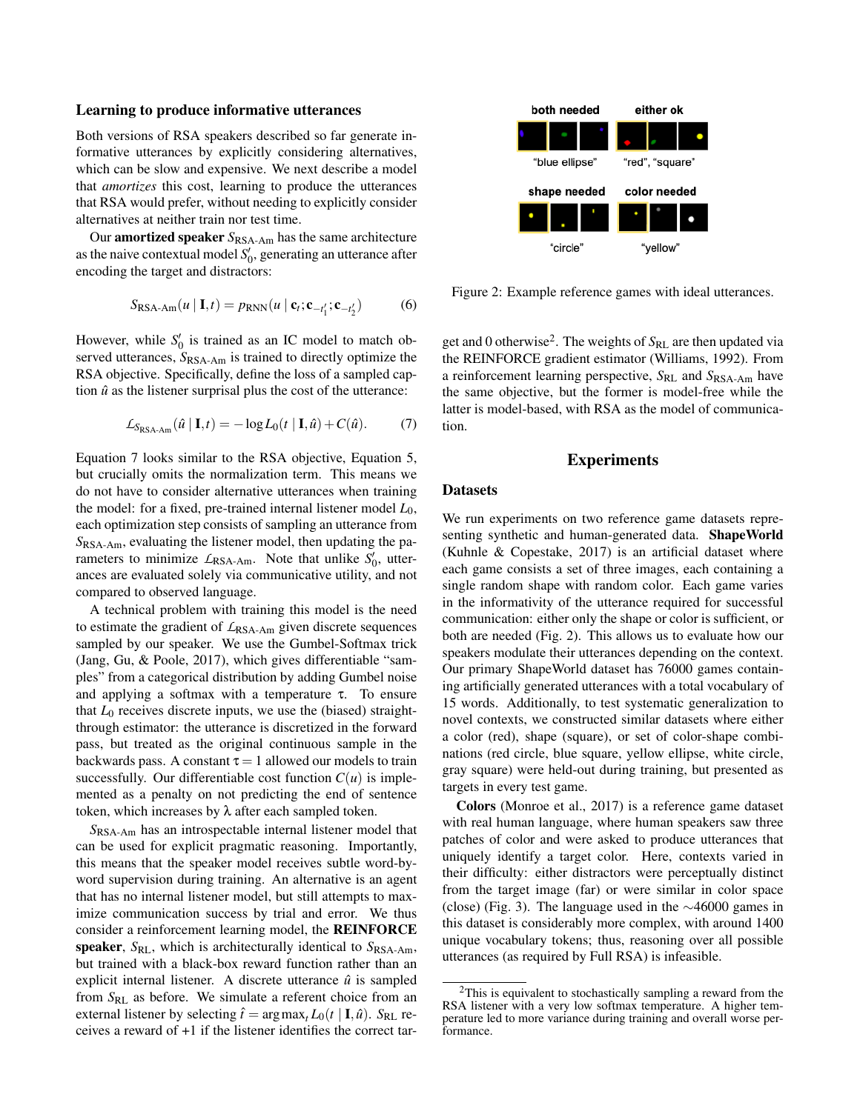#### Learning to produce informative utterances

Both versions of RSA speakers described so far generate informative utterances by explicitly considering alternatives, which can be slow and expensive. We next describe a model that *amortizes* this cost, learning to produce the utterances that RSA would prefer, without needing to explicitly consider alternatives at neither train nor test time.

Our **amortized speaker**  $S_{\text{RSA-Am}}$  has the same architecture as the naive contextual model  $S_0'$ , generating an utterance after encoding the target and distractors:

$$
S_{\text{RSA-Am}}(u \mid \mathbf{I}, t) = p_{\text{RNN}}(u \mid \mathbf{c}_t; \mathbf{c}_{-t'_1}; \mathbf{c}_{-t'_2}) \tag{6}
$$

However, while  $S_0'$  is trained as an IC model to match observed utterances,  $S_{\text{RSA-Am}}$  is trained to directly optimize the RSA objective. Specifically, define the loss of a sampled caption  $\hat{u}$  as the listener surprisal plus the cost of the utterance:

$$
\mathcal{L}_{S_{\text{RSA-Am}}}(\hat{u} \mid \mathbf{I}, t) = -\log L_0(t \mid \mathbf{I}, \hat{u}) + C(\hat{u}). \tag{7}
$$

Equation 7 looks similar to the RSA objective, Equation 5, but crucially omits the normalization term. This means we do not have to consider alternative utterances when training the model: for a fixed, pre-trained internal listener model  $L_0$ , each optimization step consists of sampling an utterance from *S*RSA-Am, evaluating the listener model, then updating the parameters to minimize  $L_{\text{RSA-Am}}$ . Note that unlike  $S'_0$ , utterances are evaluated solely via communicative utility, and not compared to observed language.

A technical problem with training this model is the need to estimate the gradient of *L*RSA-Am given discrete sequences sampled by our speaker. We use the Gumbel-Softmax trick (Jang, Gu, & Poole, 2017), which gives differentiable "samples" from a categorical distribution by adding Gumbel noise and applying a softmax with a temperature  $\tau$ . To ensure that  $L_0$  receives discrete inputs, we use the (biased) straightthrough estimator: the utterance is discretized in the forward pass, but treated as the original continuous sample in the backwards pass. A constant  $\tau = 1$  allowed our models to train successfully. Our differentiable cost function  $C(u)$  is implemented as a penalty on not predicting the end of sentence token, which increases by  $λ$  after each sampled token.

*S*RSA-Am has an introspectable internal listener model that can be used for explicit pragmatic reasoning. Importantly, this means that the speaker model receives subtle word-byword supervision during training. An alternative is an agent that has no internal listener model, but still attempts to maximize communication success by trial and error. We thus consider a reinforcement learning model, the REINFORCE speaker,  $S_{\text{RL}}$ , which is architecturally identical to  $S_{\text{RSA-Am}}$ , but trained with a black-box reward function rather than an explicit internal listener. A discrete utterance  $\hat{u}$  is sampled from *S*RL as before. We simulate a referent choice from an external listener by selecting  $\hat{t} = \arg \max_t L_0(t | \mathbf{I}, \hat{u})$ . S<sub>RL</sub> receives a reward of +1 if the listener identifies the correct tar-



Figure 2: Example reference games with ideal utterances.

get and 0 otherwise<sup>2</sup>. The weights of  $S_{RL}$  are then updated via the REINFORCE gradient estimator (Williams, 1992). From a reinforcement learning perspective, *S<sub>RL</sub>* and *S*<sub>RSA-Am</sub> have the same objective, but the former is model-free while the latter is model-based, with RSA as the model of communication.

# Experiments

## Datasets

We run experiments on two reference game datasets representing synthetic and human-generated data. ShapeWorld (Kuhnle & Copestake, 2017) is an artificial dataset where each game consists a set of three images, each containing a single random shape with random color. Each game varies in the informativity of the utterance required for successful communication: either only the shape or color is sufficient, or both are needed (Fig. 2). This allows us to evaluate how our speakers modulate their utterances depending on the context. Our primary ShapeWorld dataset has 76000 games containing artificially generated utterances with a total vocabulary of 15 words. Additionally, to test systematic generalization to novel contexts, we constructed similar datasets where either a color (red), shape (square), or set of color-shape combinations (red circle, blue square, yellow ellipse, white circle, gray square) were held-out during training, but presented as targets in every test game.

Colors (Monroe et al., 2017) is a reference game dataset with real human language, where human speakers saw three patches of color and were asked to produce utterances that uniquely identify a target color. Here, contexts varied in their difficulty: either distractors were perceptually distinct from the target image (far) or were similar in color space (close) (Fig. 3). The language used in the ∼46000 games in this dataset is considerably more complex, with around 1400 unique vocabulary tokens; thus, reasoning over all possible utterances (as required by Full RSA) is infeasible.

<sup>&</sup>lt;sup>2</sup>This is equivalent to stochastically sampling a reward from the RSA listener with a very low softmax temperature. A higher temperature led to more variance during training and overall worse performance.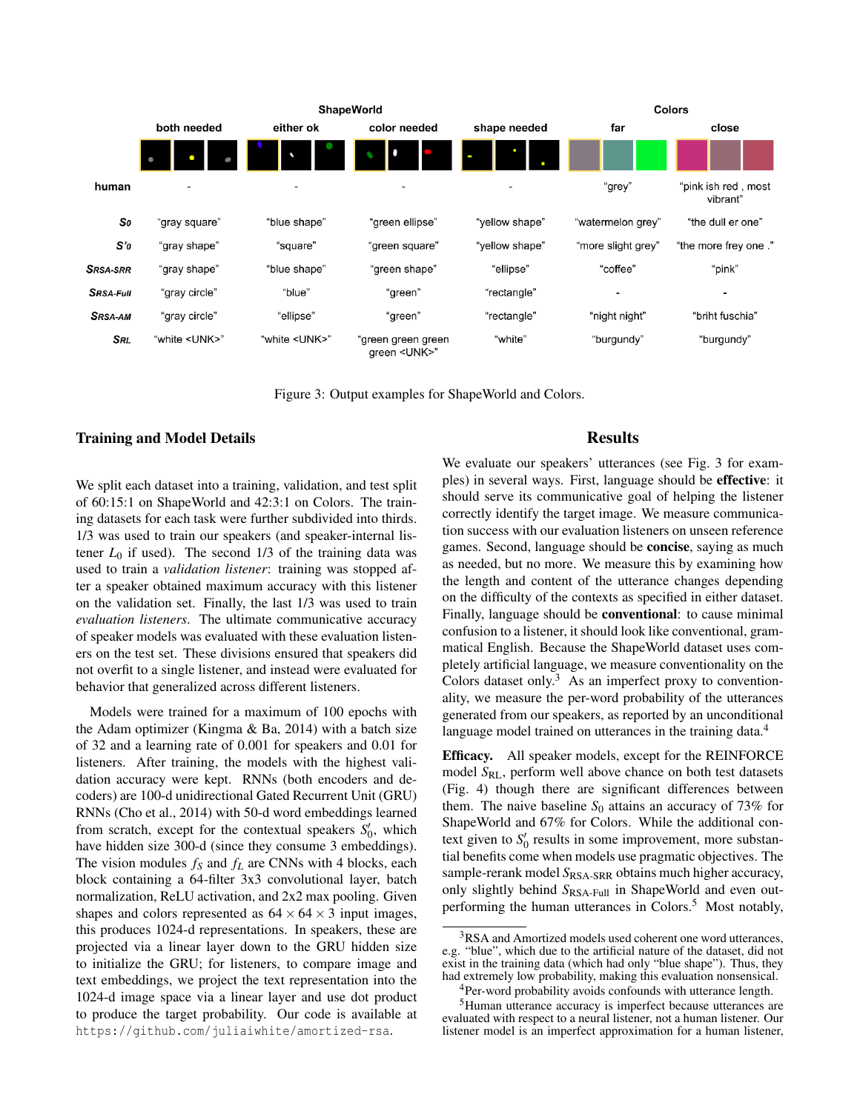

Figure 3: Output examples for ShapeWorld and Colors.

#### Training and Model Details

We split each dataset into a training, validation, and test split of 60:15:1 on ShapeWorld and 42:3:1 on Colors. The training datasets for each task were further subdivided into thirds. 1/3 was used to train our speakers (and speaker-internal listener  $L_0$  if used). The second  $1/3$  of the training data was used to train a *validation listener*: training was stopped after a speaker obtained maximum accuracy with this listener on the validation set. Finally, the last 1/3 was used to train *evaluation listeners*. The ultimate communicative accuracy of speaker models was evaluated with these evaluation listeners on the test set. These divisions ensured that speakers did not overfit to a single listener, and instead were evaluated for behavior that generalized across different listeners.

Models were trained for a maximum of 100 epochs with the Adam optimizer (Kingma  $\&$  Ba, 2014) with a batch size of 32 and a learning rate of 0.001 for speakers and 0.01 for listeners. After training, the models with the highest validation accuracy were kept. RNNs (both encoders and decoders) are 100-d unidirectional Gated Recurrent Unit (GRU) RNNs (Cho et al., 2014) with 50-d word embeddings learned from scratch, except for the contextual speakers  $S_0'$ , which have hidden size 300-d (since they consume 3 embeddings). The vision modules *f<sup>S</sup>* and *f<sup>L</sup>* are CNNs with 4 blocks, each block containing a 64-filter 3x3 convolutional layer, batch normalization, ReLU activation, and 2x2 max pooling. Given shapes and colors represented as  $64 \times 64 \times 3$  input images, this produces 1024-d representations. In speakers, these are projected via a linear layer down to the GRU hidden size to initialize the GRU; for listeners, to compare image and text embeddings, we project the text representation into the 1024-d image space via a linear layer and use dot product to produce the target probability. Our code is available at https://github.com/juliaiwhite/amortized-rsa.

# **Results**

We evaluate our speakers' utterances (see Fig. 3 for examples) in several ways. First, language should be effective: it should serve its communicative goal of helping the listener correctly identify the target image. We measure communication success with our evaluation listeners on unseen reference games. Second, language should be concise, saying as much as needed, but no more. We measure this by examining how the length and content of the utterance changes depending on the difficulty of the contexts as specified in either dataset. Finally, language should be conventional: to cause minimal confusion to a listener, it should look like conventional, grammatical English. Because the ShapeWorld dataset uses completely artificial language, we measure conventionality on the Colors dataset only. $3$  As an imperfect proxy to conventionality, we measure the per-word probability of the utterances generated from our speakers, as reported by an unconditional language model trained on utterances in the training data.<sup>4</sup>

Efficacy. All speaker models, except for the REINFORCE model *S<sub>RL</sub>*, perform well above chance on both test datasets (Fig. 4) though there are significant differences between them. The naive baseline  $S_0$  attains an accuracy of 73% for ShapeWorld and 67% for Colors. While the additional context given to  $S_0'$  results in some improvement, more substantial benefits come when models use pragmatic objectives. The sample-rerank model S<sub>RSA-SRR</sub> obtains much higher accuracy, only slightly behind  $S_{\text{RSA-Full}}$  in ShapeWorld and even outperforming the human utterances in Colors. $5$  Most notably,

<sup>&</sup>lt;sup>3</sup>RSA and Amortized models used coherent one word utterances, e.g. "blue", which due to the artificial nature of the dataset, did not exist in the training data (which had only "blue shape"). Thus, they had extremely low probability, making this evaluation nonsensical.

<sup>&</sup>lt;sup>4</sup>Per-word probability avoids confounds with utterance length. <sup>5</sup>Human utterance accuracy is imperfect because utterances are evaluated with respect to a neural listener, not a human listener. Our listener model is an imperfect approximation for a human listener,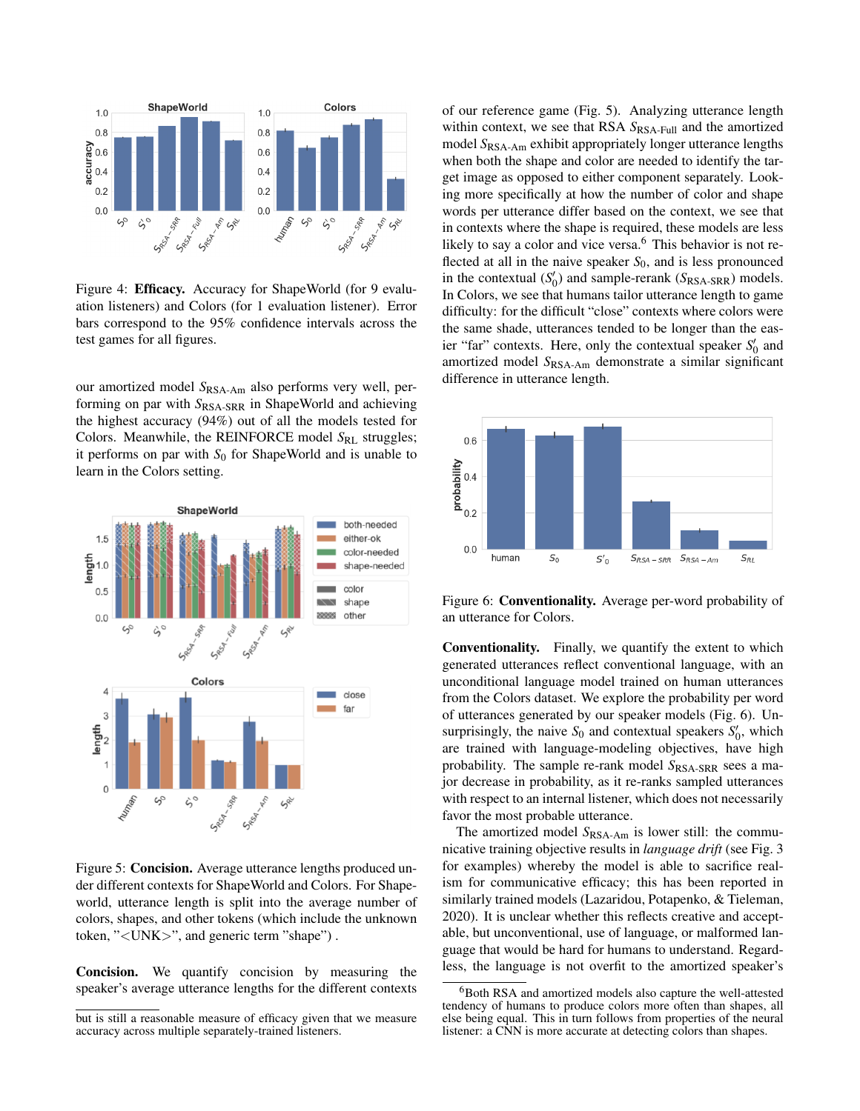

Figure 4: **Efficacy.** Accuracy for ShapeWorld (for 9 evaluation listeners) and Colors (for 1 evaluation listener). Error bars correspond to the 95% confidence intervals across the test games for all figures.

our amortized model *S*RSA-Am also performs very well, performing on par with  $S_{RSA-SRR}$  in ShapeWorld and achieving the highest accuracy (94%) out of all the models tested for Colors. Meanwhile, the REINFORCE model S<sub>RL</sub> struggles; it performs on par with  $S_0$  for ShapeWorld and is unable to learn in the Colors setting.



Figure 5: Concision. Average utterance lengths produced under different contexts for ShapeWorld and Colors. For Shapeworld, utterance length is split into the average number of colors, shapes, and other tokens (which include the unknown token, "<UNK>", and generic term "shape") .

Concision. We quantify concision by measuring the speaker's average utterance lengths for the different contexts of our reference game (Fig. 5). Analyzing utterance length within context, we see that RSA  $S_{\text{RSA-Full}}$  and the amortized model *S*RSA-Am exhibit appropriately longer utterance lengths when both the shape and color are needed to identify the target image as opposed to either component separately. Looking more specifically at how the number of color and shape words per utterance differ based on the context, we see that in contexts where the shape is required, these models are less likely to say a color and vice versa.<sup>6</sup> This behavior is not reflected at all in the naive speaker  $S_0$ , and is less pronounced in the contextual  $(S'_0)$  and sample-rerank  $(S_{\text{RSA-SRR}})$  models. In Colors, we see that humans tailor utterance length to game difficulty: for the difficult "close" contexts where colors were the same shade, utterances tended to be longer than the easier "far" contexts. Here, only the contextual speaker  $S_0'$  and amortized model *S*RSA-Am demonstrate a similar significant difference in utterance length.



Figure 6: Conventionality. Average per-word probability of an utterance for Colors.

Conventionality. Finally, we quantify the extent to which generated utterances reflect conventional language, with an unconditional language model trained on human utterances from the Colors dataset. We explore the probability per word of utterances generated by our speaker models (Fig. 6). Unsurprisingly, the naive  $S_0$  and contextual speakers  $S'_0$ , which are trained with language-modeling objectives, have high probability. The sample re-rank model  $S_{\text{RSA-SRR}}$  sees a major decrease in probability, as it re-ranks sampled utterances with respect to an internal listener, which does not necessarily favor the most probable utterance.

The amortized model  $S_{\text{RSA-Am}}$  is lower still: the communicative training objective results in *language drift* (see Fig. 3 for examples) whereby the model is able to sacrifice realism for communicative efficacy; this has been reported in similarly trained models (Lazaridou, Potapenko, & Tieleman, 2020). It is unclear whether this reflects creative and acceptable, but unconventional, use of language, or malformed language that would be hard for humans to understand. Regardless, the language is not overfit to the amortized speaker's

but is still a reasonable measure of efficacy given that we measure accuracy across multiple separately-trained listeners.

<sup>6</sup>Both RSA and amortized models also capture the well-attested tendency of humans to produce colors more often than shapes, all else being equal. This in turn follows from properties of the neural listener: a CNN is more accurate at detecting colors than shapes.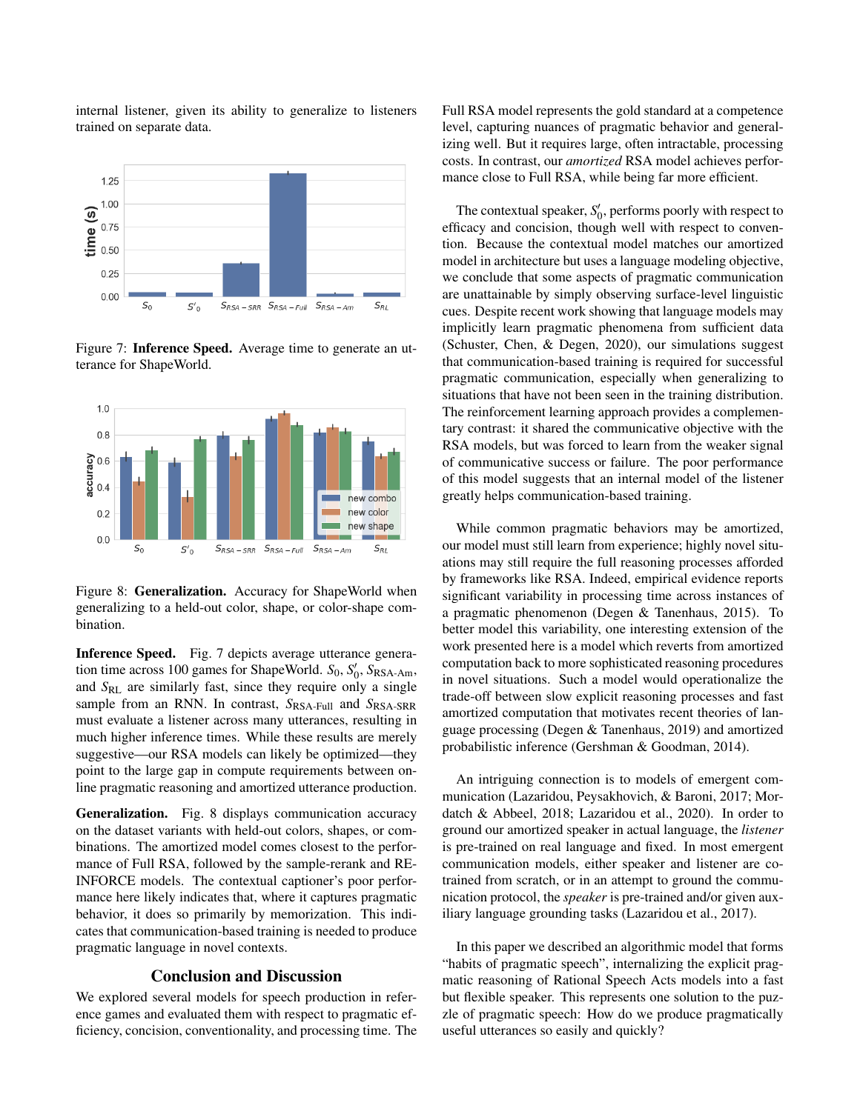internal listener, given its ability to generalize to listeners trained on separate data.



Figure 7: Inference Speed. Average time to generate an utterance for ShapeWorld.



Figure 8: Generalization. Accuracy for ShapeWorld when generalizing to a held-out color, shape, or color-shape combination.

Inference Speed. Fig. 7 depicts average utterance generation time across 100 games for ShapeWorld. *S*<sub>0</sub>, *S*<sub>0</sub>, *S*<sub>RSA-Am</sub>, and *S*RL are similarly fast, since they require only a single sample from an RNN. In contrast,  $S_{\text{RSA-Full}}$  and  $S_{\text{RSA-SRR}}$ must evaluate a listener across many utterances, resulting in much higher inference times. While these results are merely suggestive—our RSA models can likely be optimized—they point to the large gap in compute requirements between online pragmatic reasoning and amortized utterance production.

Generalization. Fig. 8 displays communication accuracy on the dataset variants with held-out colors, shapes, or combinations. The amortized model comes closest to the performance of Full RSA, followed by the sample-rerank and RE-INFORCE models. The contextual captioner's poor performance here likely indicates that, where it captures pragmatic behavior, it does so primarily by memorization. This indicates that communication-based training is needed to produce pragmatic language in novel contexts.

## Conclusion and Discussion

We explored several models for speech production in reference games and evaluated them with respect to pragmatic efficiency, concision, conventionality, and processing time. The Full RSA model represents the gold standard at a competence level, capturing nuances of pragmatic behavior and generalizing well. But it requires large, often intractable, processing costs. In contrast, our *amortized* RSA model achieves performance close to Full RSA, while being far more efficient.

The contextual speaker,  $S_0'$ , performs poorly with respect to efficacy and concision, though well with respect to convention. Because the contextual model matches our amortized model in architecture but uses a language modeling objective, we conclude that some aspects of pragmatic communication are unattainable by simply observing surface-level linguistic cues. Despite recent work showing that language models may implicitly learn pragmatic phenomena from sufficient data (Schuster, Chen, & Degen, 2020), our simulations suggest that communication-based training is required for successful pragmatic communication, especially when generalizing to situations that have not been seen in the training distribution. The reinforcement learning approach provides a complementary contrast: it shared the communicative objective with the RSA models, but was forced to learn from the weaker signal of communicative success or failure. The poor performance of this model suggests that an internal model of the listener greatly helps communication-based training.

While common pragmatic behaviors may be amortized, our model must still learn from experience; highly novel situations may still require the full reasoning processes afforded by frameworks like RSA. Indeed, empirical evidence reports significant variability in processing time across instances of a pragmatic phenomenon (Degen & Tanenhaus, 2015). To better model this variability, one interesting extension of the work presented here is a model which reverts from amortized computation back to more sophisticated reasoning procedures in novel situations. Such a model would operationalize the trade-off between slow explicit reasoning processes and fast amortized computation that motivates recent theories of language processing (Degen & Tanenhaus, 2019) and amortized probabilistic inference (Gershman & Goodman, 2014).

An intriguing connection is to models of emergent communication (Lazaridou, Peysakhovich, & Baroni, 2017; Mordatch & Abbeel, 2018; Lazaridou et al., 2020). In order to ground our amortized speaker in actual language, the *listener* is pre-trained on real language and fixed. In most emergent communication models, either speaker and listener are cotrained from scratch, or in an attempt to ground the communication protocol, the *speaker* is pre-trained and/or given auxiliary language grounding tasks (Lazaridou et al., 2017).

In this paper we described an algorithmic model that forms "habits of pragmatic speech", internalizing the explicit pragmatic reasoning of Rational Speech Acts models into a fast but flexible speaker. This represents one solution to the puzzle of pragmatic speech: How do we produce pragmatically useful utterances so easily and quickly?